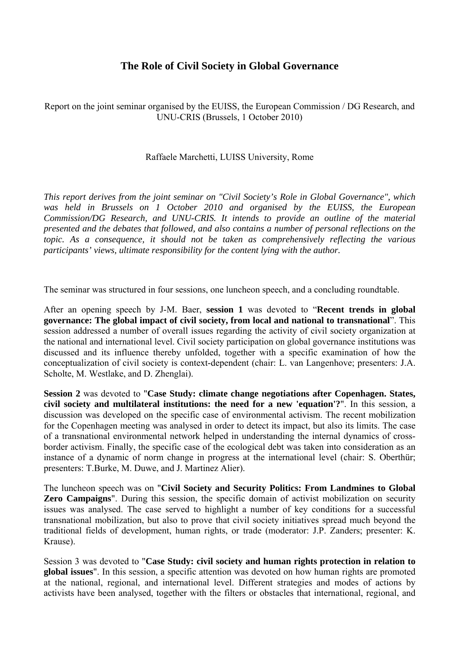# **The Role of Civil Society in Global Governance**

Report on the joint seminar organised by the EUISS, the European Commission / DG Research, and UNU-CRIS (Brussels, 1 October 2010)

## Raffaele Marchetti, LUISS University, Rome

*This report derives from the joint seminar on "Civil Society's Role in Global Governance", which was held in Brussels on 1 October 2010 and organised by the EUISS, the European Commission/DG Research, and UNU-CRIS. It intends to provide an outline of the material presented and the debates that followed, and also contains a number of personal reflections on the topic. As a consequence, it should not be taken as comprehensively reflecting the various participants' views, ultimate responsibility for the content lying with the author.* 

The seminar was structured in four sessions, one luncheon speech, and a concluding roundtable.

After an opening speech by J-M. Baer, **session 1** was devoted to "**Recent trends in global governance: The global impact of civil society, from local and national to transnational**". This session addressed a number of overall issues regarding the activity of civil society organization at the national and international level. Civil society participation on global governance institutions was discussed and its influence thereby unfolded, together with a specific examination of how the conceptualization of civil society is context-dependent (chair: L. van Langenhove; presenters: J.A. Scholte, M. Westlake, and D. Zhenglai).

**Session 2** was devoted to "**Case Study: climate change negotiations after Copenhagen. States, civil society and multilateral institutions: the need for a new 'equation'?**". In this session, a discussion was developed on the specific case of environmental activism. The recent mobilization for the Copenhagen meeting was analysed in order to detect its impact, but also its limits. The case of a transnational environmental network helped in understanding the internal dynamics of crossborder activism. Finally, the specific case of the ecological debt was taken into consideration as an instance of a dynamic of norm change in progress at the international level (chair: S. Oberthür; presenters: T.Burke, M. Duwe, and J. Martinez Alier).

The luncheon speech was on "**Civil Society and Security Politics: From Landmines to Global Zero Campaigns**". During this session, the specific domain of activist mobilization on security issues was analysed. The case served to highlight a number of key conditions for a successful transnational mobilization, but also to prove that civil society initiatives spread much beyond the traditional fields of development, human rights, or trade (moderator: J.P. Zanders; presenter: K. Krause).

Session 3 was devoted to "**Case Study: civil society and human rights protection in relation to global issues**". In this session, a specific attention was devoted on how human rights are promoted at the national, regional, and international level. Different strategies and modes of actions by activists have been analysed, together with the filters or obstacles that international, regional, and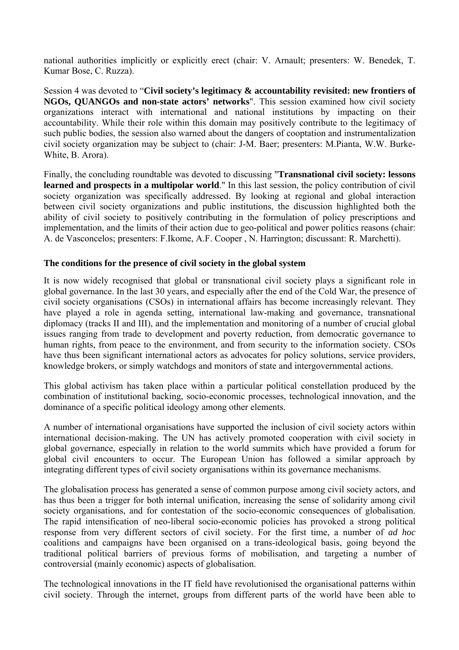national authorities implicitly or explicitly erect (chair: V. Arnault; presenters: W. Benedek, T. Kumar Bose, C. Ruzza).

Session 4 was devoted to "**Civil society's legitimacy & accountability revisited: new frontiers of NGOs, QUANGOs and non-state actors' networks**". This session examined how civil society organizations interact with international and national institutions by impacting on their accountability. While their role within this domain may positively contribute to the legitimacy of such public bodies, the session also warned about the dangers of cooptation and instrumentalization civil society organization may be subject to (chair: J-M. Baer; presenters: M.Pianta, W.W. Burke-White, B. Arora).

Finally, the concluding roundtable was devoted to discussing "**Transnational civil society: lessons learned and prospects in a multipolar world**." In this last session, the policy contribution of civil society organization was specifically addressed. By looking at regional and global interaction between civil society organizations and public institutions, the discussion highlighted both the ability of civil society to positively contributing in the formulation of policy prescriptions and implementation, and the limits of their action due to geo-political and power politics reasons (chair: A. de Vasconcelos; presenters: F.Ikome, A.F. Cooper , N. Harrington; discussant: R. Marchetti).

### **The conditions for the presence of civil society in the global system**

It is now widely recognised that global or transnational civil society plays a significant role in global governance. In the last 30 years, and especially after the end of the Cold War, the presence of civil society organisations (CSOs) in international affairs has become increasingly relevant. They have played a role in agenda setting, international law-making and governance, transnational diplomacy (tracks II and III), and the implementation and monitoring of a number of crucial global issues ranging from trade to development and poverty reduction, from democratic governance to human rights, from peace to the environment, and from security to the information society. CSOs have thus been significant international actors as advocates for policy solutions, service providers, knowledge brokers, or simply watchdogs and monitors of state and intergovernmental actions.

This global activism has taken place within a particular political constellation produced by the combination of institutional backing, socio-economic processes, technological innovation, and the dominance of a specific political ideology among other elements.

A number of international organisations have supported the inclusion of civil society actors within international decision-making. The UN has actively promoted cooperation with civil society in global governance, especially in relation to the world summits which have provided a forum for global civil encounters to occur. The European Union has followed a similar approach by integrating different types of civil society organisations within its governance mechanisms.

The globalisation process has generated a sense of common purpose among civil society actors, and has thus been a trigger for both internal unification, increasing the sense of solidarity among civil society organisations, and for contestation of the socio-economic consequences of globalisation. The rapid intensification of neo-liberal socio-economic policies has provoked a strong political response from very different sectors of civil society. For the first time, a number of *ad hoc* coalitions and campaigns have been organised on a trans-ideological basis, going beyond the traditional political barriers of previous forms of mobilisation, and targeting a number of controversial (mainly economic) aspects of globalisation.

The technological innovations in the IT field have revolutionised the organisational patterns within civil society. Through the internet, groups from different parts of the world have been able to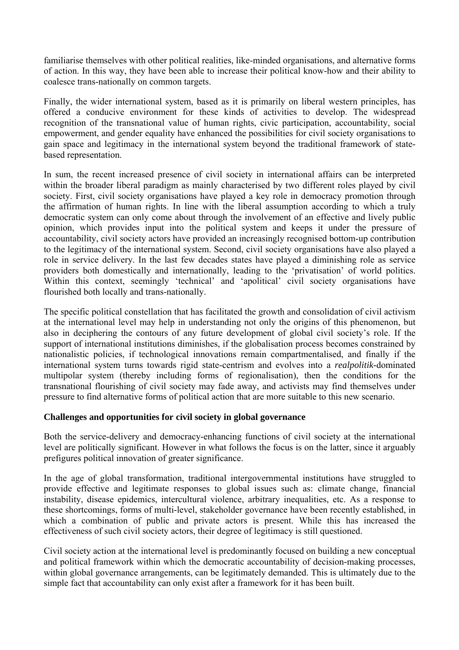familiarise themselves with other political realities, like-minded organisations, and alternative forms of action. In this way, they have been able to increase their political know-how and their ability to coalesce trans-nationally on common targets.

Finally, the wider international system, based as it is primarily on liberal western principles, has offered a conducive environment for these kinds of activities to develop. The widespread recognition of the transnational value of human rights, civic participation, accountability, social empowerment, and gender equality have enhanced the possibilities for civil society organisations to gain space and legitimacy in the international system beyond the traditional framework of statebased representation.

In sum, the recent increased presence of civil society in international affairs can be interpreted within the broader liberal paradigm as mainly characterised by two different roles played by civil society. First, civil society organisations have played a key role in democracy promotion through the affirmation of human rights. In line with the liberal assumption according to which a truly democratic system can only come about through the involvement of an effective and lively public opinion, which provides input into the political system and keeps it under the pressure of accountability, civil society actors have provided an increasingly recognised bottom-up contribution to the legitimacy of the international system. Second, civil society organisations have also played a role in service delivery. In the last few decades states have played a diminishing role as service providers both domestically and internationally, leading to the 'privatisation' of world politics. Within this context, seemingly 'technical' and 'apolitical' civil society organisations have flourished both locally and trans-nationally.

The specific political constellation that has facilitated the growth and consolidation of civil activism at the international level may help in understanding not only the origins of this phenomenon, but also in deciphering the contours of any future development of global civil society's role. If the support of international institutions diminishes, if the globalisation process becomes constrained by nationalistic policies, if technological innovations remain compartmentalised, and finally if the international system turns towards rigid state-centrism and evolves into a *realpolitik-*dominated multipolar system (thereby including forms of regionalisation), then the conditions for the transnational flourishing of civil society may fade away, and activists may find themselves under pressure to find alternative forms of political action that are more suitable to this new scenario.

# **Challenges and opportunities for civil society in global governance**

Both the service-delivery and democracy-enhancing functions of civil society at the international level are politically significant. However in what follows the focus is on the latter, since it arguably prefigures political innovation of greater significance.

In the age of global transformation, traditional intergovernmental institutions have struggled to provide effective and legitimate responses to global issues such as: climate change, financial instability, disease epidemics, intercultural violence, arbitrary inequalities, etc. As a response to these shortcomings, forms of multi-level, stakeholder governance have been recently established, in which a combination of public and private actors is present. While this has increased the effectiveness of such civil society actors, their degree of legitimacy is still questioned.

Civil society action at the international level is predominantly focused on building a new conceptual and political framework within which the democratic accountability of decision-making processes, within global governance arrangements, can be legitimately demanded. This is ultimately due to the simple fact that accountability can only exist after a framework for it has been built.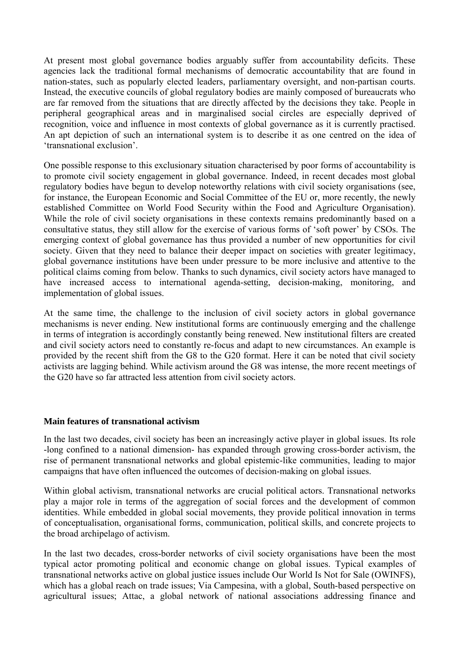At present most global governance bodies arguably suffer from accountability deficits. These agencies lack the traditional formal mechanisms of democratic accountability that are found in nation-states, such as popularly elected leaders, parliamentary oversight, and non-partisan courts. Instead, the executive councils of global regulatory bodies are mainly composed of bureaucrats who are far removed from the situations that are directly affected by the decisions they take. People in peripheral geographical areas and in marginalised social circles are especially deprived of recognition, voice and influence in most contexts of global governance as it is currently practised. An apt depiction of such an international system is to describe it as one centred on the idea of 'transnational exclusion'.

One possible response to this exclusionary situation characterised by poor forms of accountability is to promote civil society engagement in global governance. Indeed, in recent decades most global regulatory bodies have begun to develop noteworthy relations with civil society organisations (see, for instance, the European Economic and Social Committee of the EU or, more recently, the newly established Committee on World Food Security within the Food and Agriculture Organisation). While the role of civil society organisations in these contexts remains predominantly based on a consultative status, they still allow for the exercise of various forms of 'soft power' by CSOs. The emerging context of global governance has thus provided a number of new opportunities for civil society. Given that they need to balance their deeper impact on societies with greater legitimacy, global governance institutions have been under pressure to be more inclusive and attentive to the political claims coming from below. Thanks to such dynamics, civil society actors have managed to have increased access to international agenda-setting, decision-making, monitoring, and implementation of global issues.

At the same time, the challenge to the inclusion of civil society actors in global governance mechanisms is never ending. New institutional forms are continuously emerging and the challenge in terms of integration is accordingly constantly being renewed. New institutional filters are created and civil society actors need to constantly re-focus and adapt to new circumstances. An example is provided by the recent shift from the G8 to the G20 format. Here it can be noted that civil society activists are lagging behind. While activism around the G8 was intense, the more recent meetings of the G20 have so far attracted less attention from civil society actors.

#### **Main features of transnational activism**

In the last two decades, civil society has been an increasingly active player in global issues. Its role -long confined to a national dimension- has expanded through growing cross-border activism, the rise of permanent transnational networks and global epistemic-like communities, leading to major campaigns that have often influenced the outcomes of decision-making on global issues.

Within global activism, transnational networks are crucial political actors. Transnational networks play a major role in terms of the aggregation of social forces and the development of common identities. While embedded in global social movements, they provide political innovation in terms of conceptualisation, organisational forms, communication, political skills, and concrete projects to the broad archipelago of activism.

In the last two decades, cross-border networks of civil society organisations have been the most typical actor promoting political and economic change on global issues. Typical examples of transnational networks active on global justice issues include Our World Is Not for Sale (OWINFS), which has a global reach on trade issues; Via Campesina, with a global, South-based perspective on agricultural issues; Attac, a global network of national associations addressing finance and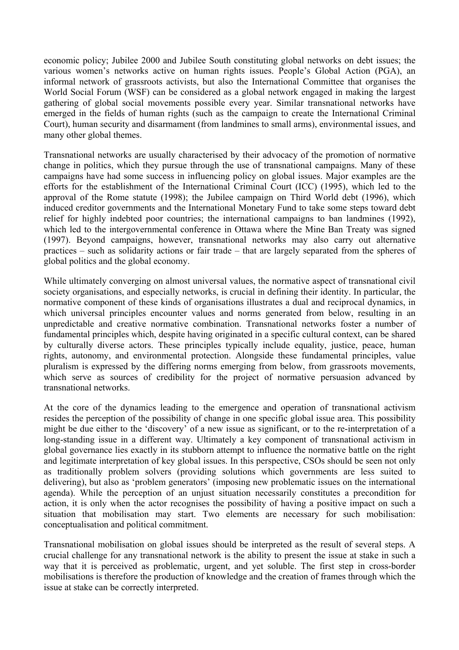economic policy; Jubilee 2000 and Jubilee South constituting global networks on debt issues; the various women's networks active on human rights issues. People's Global Action (PGA), an informal network of grassroots activists, but also the International Committee that organises the World Social Forum (WSF) can be considered as a global network engaged in making the largest gathering of global social movements possible every year. Similar transnational networks have emerged in the fields of human rights (such as the campaign to create the International Criminal Court), human security and disarmament (from landmines to small arms), environmental issues, and many other global themes.

Transnational networks are usually characterised by their advocacy of the promotion of normative change in politics, which they pursue through the use of transnational campaigns. Many of these campaigns have had some success in influencing policy on global issues. Major examples are the efforts for the establishment of the International Criminal Court (ICC) (1995), which led to the approval of the Rome statute (1998); the Jubilee campaign on Third World debt (1996), which induced creditor governments and the International Monetary Fund to take some steps toward debt relief for highly indebted poor countries; the international campaigns to ban landmines (1992), which led to the intergovernmental conference in Ottawa where the Mine Ban Treaty was signed (1997). Beyond campaigns, however, transnational networks may also carry out alternative practices – such as solidarity actions or fair trade – that are largely separated from the spheres of global politics and the global economy.

While ultimately converging on almost universal values, the normative aspect of transnational civil society organisations, and especially networks, is crucial in defining their identity. In particular, the normative component of these kinds of organisations illustrates a dual and reciprocal dynamics, in which universal principles encounter values and norms generated from below, resulting in an unpredictable and creative normative combination. Transnational networks foster a number of fundamental principles which, despite having originated in a specific cultural context, can be shared by culturally diverse actors. These principles typically include equality, justice, peace, human rights, autonomy, and environmental protection. Alongside these fundamental principles, value pluralism is expressed by the differing norms emerging from below, from grassroots movements, which serve as sources of credibility for the project of normative persuasion advanced by transnational networks.

At the core of the dynamics leading to the emergence and operation of transnational activism resides the perception of the possibility of change in one specific global issue area. This possibility might be due either to the 'discovery' of a new issue as significant, or to the re-interpretation of a long-standing issue in a different way. Ultimately a key component of transnational activism in global governance lies exactly in its stubborn attempt to influence the normative battle on the right and legitimate interpretation of key global issues. In this perspective, CSOs should be seen not only as traditionally problem solvers (providing solutions which governments are less suited to delivering), but also as 'problem generators' (imposing new problematic issues on the international agenda). While the perception of an unjust situation necessarily constitutes a precondition for action, it is only when the actor recognises the possibility of having a positive impact on such a situation that mobilisation may start. Two elements are necessary for such mobilisation: conceptualisation and political commitment.

Transnational mobilisation on global issues should be interpreted as the result of several steps. A crucial challenge for any transnational network is the ability to present the issue at stake in such a way that it is perceived as problematic, urgent, and yet soluble. The first step in cross-border mobilisations is therefore the production of knowledge and the creation of frames through which the issue at stake can be correctly interpreted.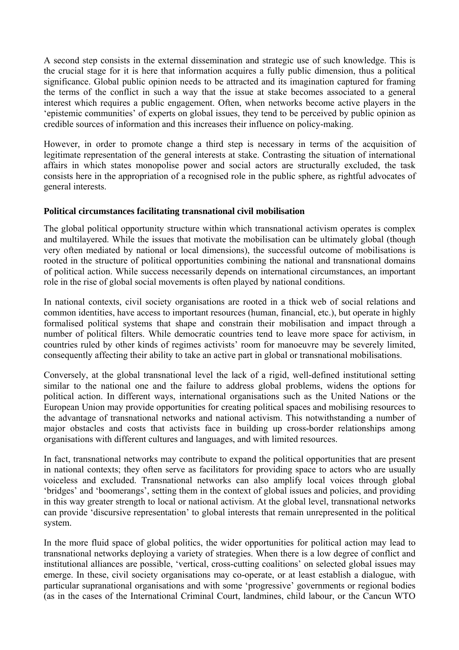A second step consists in the external dissemination and strategic use of such knowledge. This is the crucial stage for it is here that information acquires a fully public dimension, thus a political significance. Global public opinion needs to be attracted and its imagination captured for framing the terms of the conflict in such a way that the issue at stake becomes associated to a general interest which requires a public engagement. Often, when networks become active players in the 'epistemic communities' of experts on global issues, they tend to be perceived by public opinion as credible sources of information and this increases their influence on policy-making.

However, in order to promote change a third step is necessary in terms of the acquisition of legitimate representation of the general interests at stake. Contrasting the situation of international affairs in which states monopolise power and social actors are structurally excluded, the task consists here in the appropriation of a recognised role in the public sphere, as rightful advocates of general interests.

# **Political circumstances facilitating transnational civil mobilisation**

The global political opportunity structure within which transnational activism operates is complex and multilayered. While the issues that motivate the mobilisation can be ultimately global (though very often mediated by national or local dimensions), the successful outcome of mobilisations is rooted in the structure of political opportunities combining the national and transnational domains of political action. While success necessarily depends on international circumstances, an important role in the rise of global social movements is often played by national conditions.

In national contexts, civil society organisations are rooted in a thick web of social relations and common identities, have access to important resources (human, financial, etc.), but operate in highly formalised political systems that shape and constrain their mobilisation and impact through a number of political filters. While democratic countries tend to leave more space for activism, in countries ruled by other kinds of regimes activists' room for manoeuvre may be severely limited, consequently affecting their ability to take an active part in global or transnational mobilisations.

Conversely, at the global transnational level the lack of a rigid, well-defined institutional setting similar to the national one and the failure to address global problems, widens the options for political action. In different ways, international organisations such as the United Nations or the European Union may provide opportunities for creating political spaces and mobilising resources to the advantage of transnational networks and national activism. This notwithstanding a number of major obstacles and costs that activists face in building up cross-border relationships among organisations with different cultures and languages, and with limited resources.

In fact, transnational networks may contribute to expand the political opportunities that are present in national contexts; they often serve as facilitators for providing space to actors who are usually voiceless and excluded. Transnational networks can also amplify local voices through global 'bridges' and 'boomerangs', setting them in the context of global issues and policies, and providing in this way greater strength to local or national activism. At the global level, transnational networks can provide 'discursive representation' to global interests that remain unrepresented in the political system.

In the more fluid space of global politics, the wider opportunities for political action may lead to transnational networks deploying a variety of strategies. When there is a low degree of conflict and institutional alliances are possible, 'vertical, cross-cutting coalitions' on selected global issues may emerge. In these, civil society organisations may co-operate, or at least establish a dialogue, with particular supranational organisations and with some 'progressive' governments or regional bodies (as in the cases of the International Criminal Court, landmines, child labour, or the Cancun WTO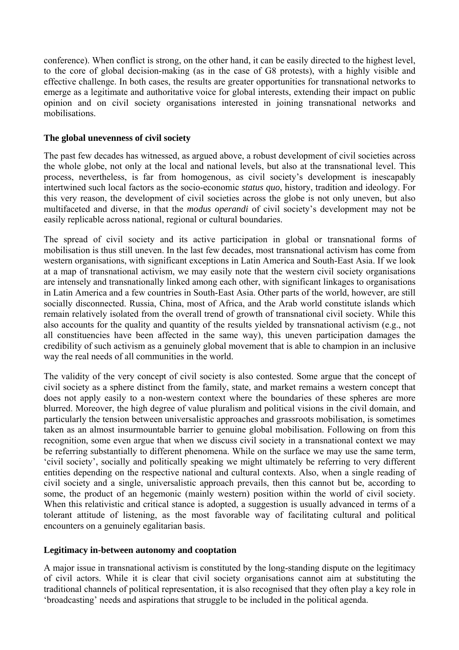conference). When conflict is strong, on the other hand, it can be easily directed to the highest level, to the core of global decision-making (as in the case of G8 protests), with a highly visible and effective challenge. In both cases, the results are greater opportunities for transnational networks to emerge as a legitimate and authoritative voice for global interests, extending their impact on public opinion and on civil society organisations interested in joining transnational networks and mobilisations.

## **The global unevenness of civil society**

The past few decades has witnessed, as argued above, a robust development of civil societies across the whole globe, not only at the local and national levels, but also at the transnational level. This process, nevertheless, is far from homogenous, as civil society's development is inescapably intertwined such local factors as the socio-economic *status quo*, history, tradition and ideology. For this very reason, the development of civil societies across the globe is not only uneven, but also multifaceted and diverse, in that the *modus operandi* of civil society's development may not be easily replicable across national, regional or cultural boundaries.

The spread of civil society and its active participation in global or transnational forms of mobilisation is thus still uneven. In the last few decades, most transnational activism has come from western organisations, with significant exceptions in Latin America and South-East Asia. If we look at a map of transnational activism, we may easily note that the western civil society organisations are intensely and transnationally linked among each other, with significant linkages to organisations in Latin America and a few countries in South-East Asia. Other parts of the world, however, are still socially disconnected. Russia, China, most of Africa, and the Arab world constitute islands which remain relatively isolated from the overall trend of growth of transnational civil society. While this also accounts for the quality and quantity of the results yielded by transnational activism (e.g., not all constituencies have been affected in the same way), this uneven participation damages the credibility of such activism as a genuinely global movement that is able to champion in an inclusive way the real needs of all communities in the world.

The validity of the very concept of civil society is also contested. Some argue that the concept of civil society as a sphere distinct from the family, state, and market remains a western concept that does not apply easily to a non-western context where the boundaries of these spheres are more blurred. Moreover, the high degree of value pluralism and political visions in the civil domain, and particularly the tension between universalistic approaches and grassroots mobilisation, is sometimes taken as an almost insurmountable barrier to genuine global mobilisation. Following on from this recognition, some even argue that when we discuss civil society in a transnational context we may be referring substantially to different phenomena. While on the surface we may use the same term, 'civil society', socially and politically speaking we might ultimately be referring to very different entities depending on the respective national and cultural contexts. Also, when a single reading of civil society and a single, universalistic approach prevails, then this cannot but be, according to some, the product of an hegemonic (mainly western) position within the world of civil society. When this relativistic and critical stance is adopted, a suggestion is usually advanced in terms of a tolerant attitude of listening, as the most favorable way of facilitating cultural and political encounters on a genuinely egalitarian basis.

#### **Legitimacy in-between autonomy and cooptation**

A major issue in transnational activism is constituted by the long-standing dispute on the legitimacy of civil actors. While it is clear that civil society organisations cannot aim at substituting the traditional channels of political representation, it is also recognised that they often play a key role in 'broadcasting' needs and aspirations that struggle to be included in the political agenda.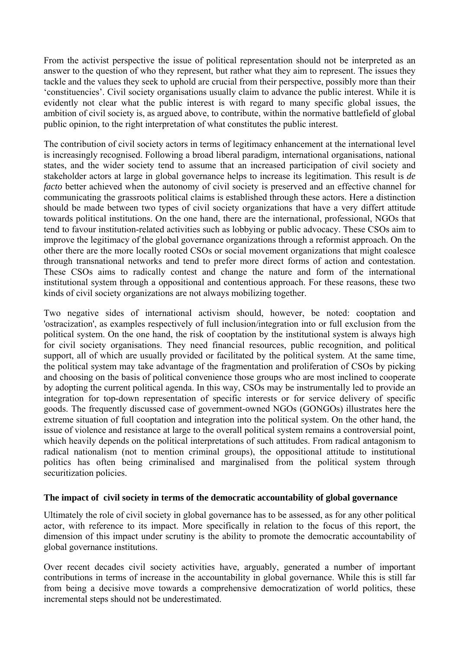From the activist perspective the issue of political representation should not be interpreted as an answer to the question of who they represent, but rather what they aim to represent. The issues they tackle and the values they seek to uphold are crucial from their perspective, possibly more than their 'constituencies'. Civil society organisations usually claim to advance the public interest. While it is evidently not clear what the public interest is with regard to many specific global issues, the ambition of civil society is, as argued above, to contribute, within the normative battlefield of global public opinion, to the right interpretation of what constitutes the public interest.

The contribution of civil society actors in terms of legitimacy enhancement at the international level is increasingly recognised. Following a broad liberal paradigm, international organisations, national states, and the wider society tend to assume that an increased participation of civil society and stakeholder actors at large in global governance helps to increase its legitimation. This result is *de facto* better achieved when the autonomy of civil society is preserved and an effective channel for communicating the grassroots political claims is established through these actors. Here a distinction should be made between two types of civil society organizations that have a very differt attitude towards political institutions. On the one hand, there are the international, professional, NGOs that tend to favour institution-related activities such as lobbying or public advocacy. These CSOs aim to improve the legitimacy of the global governance organizations through a reformist approach. On the other there are the more locally rooted CSOs or social movement organizations that might coalesce through transnational networks and tend to prefer more direct forms of action and contestation. These CSOs aims to radically contest and change the nature and form of the international institutional system through a oppositional and contentious approach. For these reasons, these two kinds of civil society organizations are not always mobilizing together.

Two negative sides of international activism should, however, be noted: cooptation and 'ostracization', as examples respectively of full inclusion/integration into or full exclusion from the political system. On the one hand, the risk of cooptation by the institutional system is always high for civil society organisations. They need financial resources, public recognition, and political support, all of which are usually provided or facilitated by the political system. At the same time, the political system may take advantage of the fragmentation and proliferation of CSOs by picking and choosing on the basis of political convenience those groups who are most inclined to cooperate by adopting the current political agenda. In this way, CSOs may be instrumentally led to provide an integration for top-down representation of specific interests or for service delivery of specific goods. The frequently discussed case of government-owned NGOs (GONGOs) illustrates here the extreme situation of full cooptation and integration into the political system. On the other hand, the issue of violence and resistance at large to the overall political system remains a controversial point, which heavily depends on the political interpretations of such attitudes. From radical antagonism to radical nationalism (not to mention criminal groups), the oppositional attitude to institutional politics has often being criminalised and marginalised from the political system through securitization policies.

#### **The impact of civil society in terms of the democratic accountability of global governance**

Ultimately the role of civil society in global governance has to be assessed, as for any other political actor, with reference to its impact. More specifically in relation to the focus of this report, the dimension of this impact under scrutiny is the ability to promote the democratic accountability of global governance institutions.

Over recent decades civil society activities have, arguably, generated a number of important contributions in terms of increase in the accountability in global governance. While this is still far from being a decisive move towards a comprehensive democratization of world politics, these incremental steps should not be underestimated.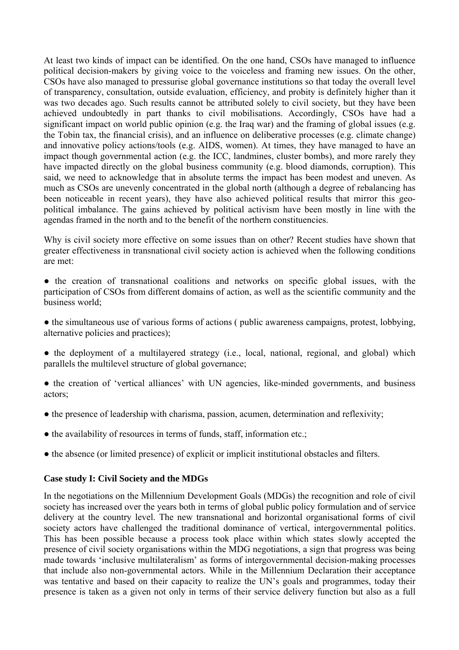At least two kinds of impact can be identified. On the one hand, CSOs have managed to influence political decision-makers by giving voice to the voiceless and framing new issues. On the other, CSOs have also managed to pressurise global governance institutions so that today the overall level of transparency, consultation, outside evaluation, efficiency, and probity is definitely higher than it was two decades ago. Such results cannot be attributed solely to civil society, but they have been achieved undoubtedly in part thanks to civil mobilisations. Accordingly, CSOs have had a significant impact on world public opinion (e.g. the Iraq war) and the framing of global issues (e.g. the Tobin tax, the financial crisis), and an influence on deliberative processes (e.g. climate change) and innovative policy actions/tools (e.g. AIDS, women). At times, they have managed to have an impact though governmental action (e.g. the ICC, landmines, cluster bombs), and more rarely they have impacted directly on the global business community (e.g. blood diamonds, corruption). This said, we need to acknowledge that in absolute terms the impact has been modest and uneven. As much as CSOs are unevenly concentrated in the global north (although a degree of rebalancing has been noticeable in recent years), they have also achieved political results that mirror this geopolitical imbalance. The gains achieved by political activism have been mostly in line with the agendas framed in the north and to the benefit of the northern constituencies.

Why is civil society more effective on some issues than on other? Recent studies have shown that greater effectiveness in transnational civil society action is achieved when the following conditions are met:

- the creation of transnational coalitions and networks on specific global issues, with the participation of CSOs from different domains of action, as well as the scientific community and the business world;
- the simultaneous use of various forms of actions ( public awareness campaigns, protest, lobbying, alternative policies and practices);
- $\bullet$  the deployment of a multilayered strategy (i.e., local, national, regional, and global) which parallels the multilevel structure of global governance;
- the creation of 'vertical alliances' with UN agencies, like-minded governments, and business actors;
- the presence of leadership with charisma, passion, acumen, determination and reflexivity;
- the availability of resources in terms of funds, staff, information etc.;
- the absence (or limited presence) of explicit or implicit institutional obstacles and filters.

#### **Case study I: Civil Society and the MDGs**

In the negotiations on the Millennium Development Goals (MDGs) the recognition and role of civil society has increased over the years both in terms of global public policy formulation and of service delivery at the country level. The new transnational and horizontal organisational forms of civil society actors have challenged the traditional dominance of vertical, intergovernmental politics. This has been possible because a process took place within which states slowly accepted the presence of civil society organisations within the MDG negotiations, a sign that progress was being made towards 'inclusive multilateralism' as forms of intergovernmental decision-making processes that include also non-governmental actors. While in the Millennium Declaration their acceptance was tentative and based on their capacity to realize the UN's goals and programmes, today their presence is taken as a given not only in terms of their service delivery function but also as a full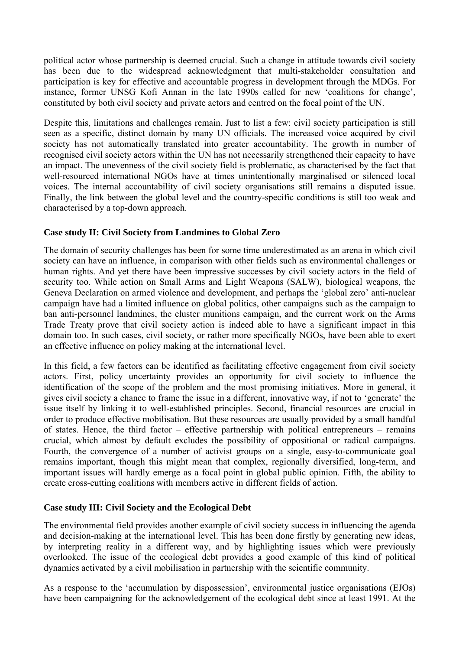political actor whose partnership is deemed crucial. Such a change in attitude towards civil society has been due to the widespread acknowledgment that multi-stakeholder consultation and participation is key for effective and accountable progress in development through the MDGs. For instance, former UNSG Kofi Annan in the late 1990s called for new 'coalitions for change', constituted by both civil society and private actors and centred on the focal point of the UN.

Despite this, limitations and challenges remain. Just to list a few: civil society participation is still seen as a specific, distinct domain by many UN officials. The increased voice acquired by civil society has not automatically translated into greater accountability. The growth in number of recognised civil society actors within the UN has not necessarily strengthened their capacity to have an impact. The unevenness of the civil society field is problematic, as characterised by the fact that well-resourced international NGOs have at times unintentionally marginalised or silenced local voices. The internal accountability of civil society organisations still remains a disputed issue. Finally, the link between the global level and the country-specific conditions is still too weak and characterised by a top-down approach.

# **Case study II: Civil Society from Landmines to Global Zero**

The domain of security challenges has been for some time underestimated as an arena in which civil society can have an influence, in comparison with other fields such as environmental challenges or human rights. And yet there have been impressive successes by civil society actors in the field of security too. While action on Small Arms and Light Weapons (SALW), biological weapons, the Geneva Declaration on armed violence and development, and perhaps the 'global zero' anti-nuclear campaign have had a limited influence on global politics, other campaigns such as the campaign to ban anti-personnel landmines, the cluster munitions campaign, and the current work on the Arms Trade Treaty prove that civil society action is indeed able to have a significant impact in this domain too. In such cases, civil society, or rather more specifically NGOs, have been able to exert an effective influence on policy making at the international level.

In this field, a few factors can be identified as facilitating effective engagement from civil society actors. First, policy uncertainty provides an opportunity for civil society to influence the identification of the scope of the problem and the most promising initiatives. More in general, it gives civil society a chance to frame the issue in a different, innovative way, if not to 'generate' the issue itself by linking it to well-established principles. Second, financial resources are crucial in order to produce effective mobilisation. But these resources are usually provided by a small handful of states. Hence, the third factor – effective partnership with political entrepreneurs – remains crucial, which almost by default excludes the possibility of oppositional or radical campaigns. Fourth, the convergence of a number of activist groups on a single, easy-to-communicate goal remains important, though this might mean that complex, regionally diversified, long-term, and important issues will hardly emerge as a focal point in global public opinion. Fifth, the ability to create cross-cutting coalitions with members active in different fields of action.

#### **Case study III: Civil Society and the Ecological Debt**

The environmental field provides another example of civil society success in influencing the agenda and decision-making at the international level. This has been done firstly by generating new ideas, by interpreting reality in a different way, and by highlighting issues which were previously overlooked. The issue of the ecological debt provides a good example of this kind of political dynamics activated by a civil mobilisation in partnership with the scientific community.

As a response to the 'accumulation by dispossession', environmental justice organisations (EJOs) have been campaigning for the acknowledgement of the ecological debt since at least 1991. At the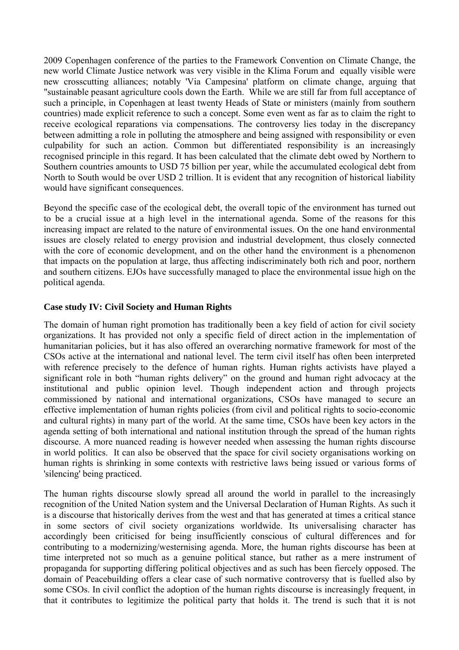2009 Copenhagen conference of the parties to the Framework Convention on Climate Change, the new world Climate Justice network was very visible in the Klima Forum and equally visible were new crosscutting alliances; notably 'Via Campesina' platform on climate change, arguing that "sustainable peasant agriculture cools down the Earth. While we are still far from full acceptance of such a principle, in Copenhagen at least twenty Heads of State or ministers (mainly from southern countries) made explicit reference to such a concept. Some even went as far as to claim the right to receive ecological reparations via compensations. The controversy lies today in the discrepancy between admitting a role in polluting the atmosphere and being assigned with responsibility or even culpability for such an action. Common but differentiated responsibility is an increasingly recognised principle in this regard. It has been calculated that the climate debt owed by Northern to Southern countries amounts to USD 75 billion per year, while the accumulated ecological debt from North to South would be over USD 2 trillion. It is evident that any recognition of historical liability would have significant consequences.

Beyond the specific case of the ecological debt, the overall topic of the environment has turned out to be a crucial issue at a high level in the international agenda. Some of the reasons for this increasing impact are related to the nature of environmental issues. On the one hand environmental issues are closely related to energy provision and industrial development, thus closely connected with the core of economic development, and on the other hand the environment is a phenomenon that impacts on the population at large, thus affecting indiscriminately both rich and poor, northern and southern citizens. EJOs have successfully managed to place the environmental issue high on the political agenda.

# **Case study IV: Civil Society and Human Rights**

The domain of human right promotion has traditionally been a key field of action for civil society organizations. It has provided not only a specific field of direct action in the implementation of humanitarian policies, but it has also offered an overarching normative framework for most of the CSOs active at the international and national level. The term civil itself has often been interpreted with reference precisely to the defence of human rights. Human rights activists have played a significant role in both "human rights delivery" on the ground and human right advocacy at the institutional and public opinion level. Though independent action and through projects commissioned by national and international organizations, CSOs have managed to secure an effective implementation of human rights policies (from civil and political rights to socio-economic and cultural rights) in many part of the world. At the same time, CSOs have been key actors in the agenda setting of both international and national institution through the spread of the human rights discourse. A more nuanced reading is however needed when assessing the human rights discourse in world politics. It can also be observed that the space for civil society organisations working on human rights is shrinking in some contexts with restrictive laws being issued or various forms of 'silencing' being practiced.

The human rights discourse slowly spread all around the world in parallel to the increasingly recognition of the United Nation system and the Universal Declaration of Human Rights. As such it is a discourse that historically derives from the west and that has generated at times a critical stance in some sectors of civil society organizations worldwide. Its universalising character has accordingly been criticised for being insufficiently conscious of cultural differences and for contributing to a modernizing/westernising agenda. More, the human rights discourse has been at time interpreted not so much as a genuine political stance, but rather as a mere instrument of propaganda for supporting differing political objectives and as such has been fiercely opposed. The domain of Peacebuilding offers a clear case of such normative controversy that is fuelled also by some CSOs. In civil conflict the adoption of the human rights discourse is increasingly frequent, in that it contributes to legitimize the political party that holds it. The trend is such that it is not